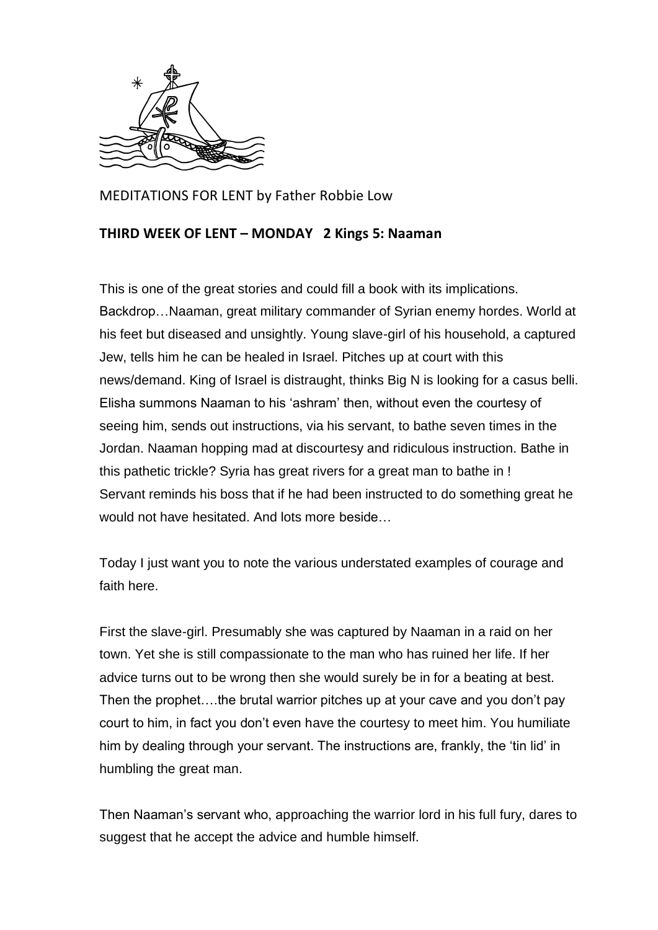

MEDITATIONS FOR LENT by Father Robbie Low

## **THIRD WEEK OF LENT – MONDAY 2 Kings 5: Naaman**

This is one of the great stories and could fill a book with its implications. Backdrop…Naaman, great military commander of Syrian enemy hordes. World at his feet but diseased and unsightly. Young slave-girl of his household, a captured Jew, tells him he can be healed in Israel. Pitches up at court with this news/demand. King of Israel is distraught, thinks Big N is looking for a casus belli. Elisha summons Naaman to his 'ashram' then, without even the courtesy of seeing him, sends out instructions, via his servant, to bathe seven times in the Jordan. Naaman hopping mad at discourtesy and ridiculous instruction. Bathe in this pathetic trickle? Syria has great rivers for a great man to bathe in ! Servant reminds his boss that if he had been instructed to do something great he would not have hesitated. And lots more beside…

Today I just want you to note the various understated examples of courage and faith here.

First the slave-girl. Presumably she was captured by Naaman in a raid on her town. Yet she is still compassionate to the man who has ruined her life. If her advice turns out to be wrong then she would surely be in for a beating at best. Then the prophet….the brutal warrior pitches up at your cave and you don't pay court to him, in fact you don't even have the courtesy to meet him. You humiliate him by dealing through your servant. The instructions are, frankly, the 'tin lid' in humbling the great man.

Then Naaman's servant who, approaching the warrior lord in his full fury, dares to suggest that he accept the advice and humble himself.